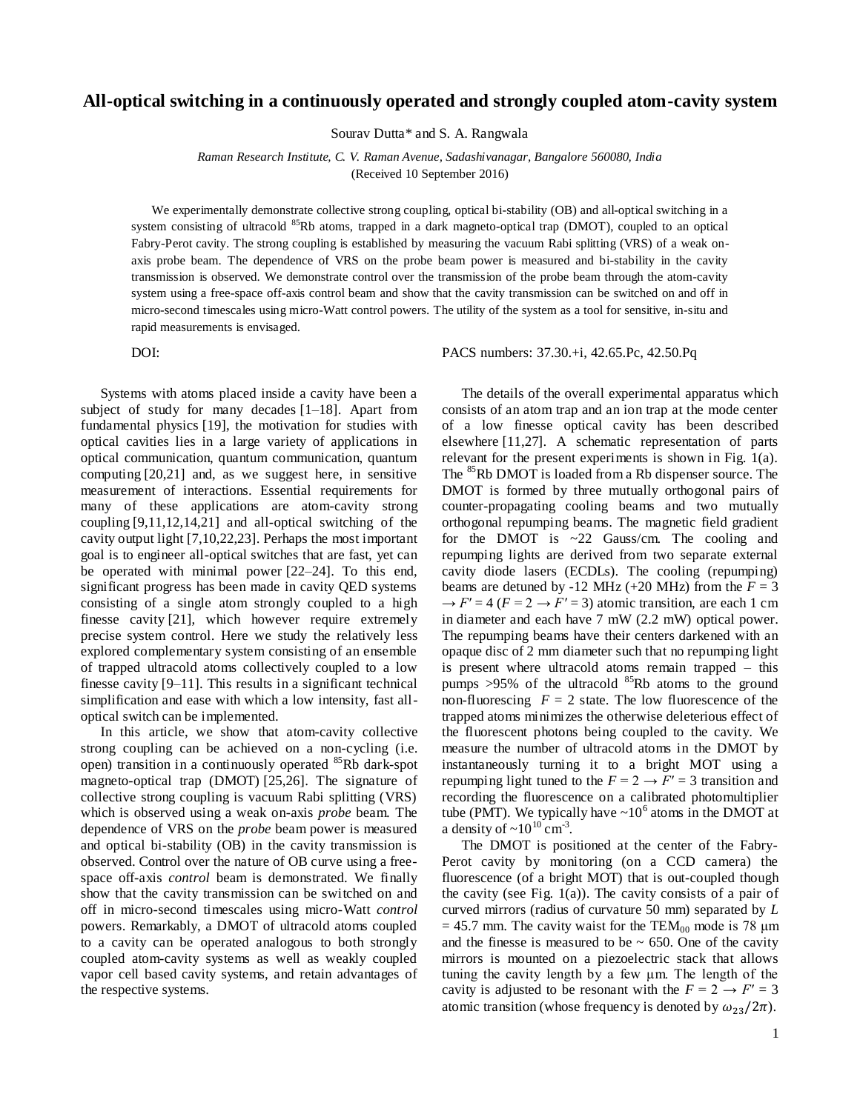## **All-optical switching in a continuously operated and strongly coupled atom-cavity system**

Sourav Dutta\* and S. A. Rangwala

*Raman Research Institute, C. V. Raman Avenue, Sadashivanagar, Bangalore 560080, India* (Received 10 September 2016)

We experimentally demonstrate collective strong coupling, optical bi-stability (OB) and all-optical switching in a system consisting of ultracold <sup>85</sup>Rb atoms, trapped in a dark magneto-optical trap (DMOT), coupled to an optical Fabry-Perot cavity. The strong coupling is established by measuring the vacuum Rabi splitting (VRS) of a weak onaxis probe beam. The dependence of VRS on the probe beam power is measured and bi-stability in the cavity transmission is observed. We demonstrate control over the transmission of the probe beam through the atom-cavity system using a free-space off-axis control beam and show that the cavity transmission can be switched on and off in micro-second timescales using micro-Watt control powers. The utility of the system as a tool for sensitive, in-situ and rapid measurements is envisaged.

Systems with atoms placed inside a cavity have been a subject of study for many decades [1–18]. Apart from fundamental physics [19], the motivation for studies with optical cavities lies in a large variety of applications in optical communication, quantum communication, quantum computing [20,21] and, as we suggest here, in sensitive measurement of interactions. Essential requirements for many of these applications are atom-cavity strong coupling [9,11,12,14,21] and all-optical switching of the cavity output light [7,10,22,23]. Perhaps the most important goal is to engineer all-optical switches that are fast, yet can be operated with minimal power [22–24]. To this end, significant progress has been made in cavity QED systems consisting of a single atom strongly coupled to a high finesse cavity [21], which however require extremely precise system control. Here we study the relatively less explored complementary system consisting of an ensemble of trapped ultracold atoms collectively coupled to a low finesse cavity [9–11]. This results in a significant technical simplification and ease with which a low intensity, fast alloptical switch can be implemented.

In this article, we show that atom-cavity collective strong coupling can be achieved on a non-cycling (i.e. open) transition in a continuously operated <sup>85</sup>Rb dark-spot magneto-optical trap (DMOT) [25,26]. The signature of collective strong coupling is vacuum Rabi splitting (VRS) which is observed using a weak on-axis *probe* beam. The dependence of VRS on the *probe* beam power is measured and optical bi-stability (OB) in the cavity transmission is observed. Control over the nature of OB curve using a freespace off-axis *control* beam is demonstrated. We finally show that the cavity transmission can be switched on and off in micro-second timescales using micro-Watt *control* powers. Remarkably, a DMOT of ultracold atoms coupled to a cavity can be operated analogous to both strongly coupled atom-cavity systems as well as weakly coupled vapor cell based cavity systems, and retain advantages of the respective systems.

DOI: PACS numbers: 37.30.+i, 42.65.Pc, 42.50.Pq

The details of the overall experimental apparatus which consists of an atom trap and an ion trap at the mode center of a low finesse optical cavity has been described elsewhere [11,27]. A schematic representation of parts relevant for the present experiments is shown in Fig. 1(a). The <sup>85</sup>Rb DMOT is loaded from a Rb dispenser source. The DMOT is formed by three mutually orthogonal pairs of counter-propagating cooling beams and two mutually orthogonal repumping beams. The magnetic field gradient for the DMOT is ~22 Gauss/cm. The cooling and repumping lights are derived from two separate external cavity diode lasers (ECDLs). The cooling (repumping) beams are detuned by -12 MHz (+20 MHz) from the  $F = 3$  $\rightarrow$  *F'* = 4 (*F* = 2  $\rightarrow$  *F'* = 3) atomic transition, are each 1 cm in diameter and each have 7 mW (2.2 mW) optical power. The repumping beams have their centers darkened with an opaque disc of 2 mm diameter such that no repumping light is present where ultracold atoms remain trapped – this pumps  $>95\%$  of the ultracold <sup>85</sup>Rb atoms to the ground non-fluorescing  $F = 2$  state. The low fluorescence of the trapped atoms minimizes the otherwise deleterious effect of the fluorescent photons being coupled to the cavity. We measure the number of ultracold atoms in the DMOT by instantaneously turning it to a bright MOT using a repumping light tuned to the  $F = 2 \rightarrow F' = 3$  transition and recording the fluorescence on a calibrated photomultiplier tube (PMT). We typically have  $\sim 10^6$  atoms in the DMOT at a density of  $\sim 10^{10}$  cm<sup>-3</sup>.

The DMOT is positioned at the center of the Fabry-Perot cavity by monitoring (on a CCD camera) the fluorescence (of a bright MOT) that is out-coupled though the cavity (see Fig.  $1(a)$ ). The cavity consists of a pair of curved mirrors (radius of curvature 50 mm) separated by *L*  $= 45.7$  mm. The cavity waist for the TEM<sub>00</sub> mode is 78  $\mu$ m and the finesse is measured to be  $\sim$  650. One of the cavity mirrors is mounted on a piezoelectric stack that allows tuning the cavity length by a few μm. The length of the cavity is adjusted to be resonant with the  $F = 2 \rightarrow F' = 3$ atomic transition (whose frequency is denoted by  $\omega_{23}/2\pi$ ).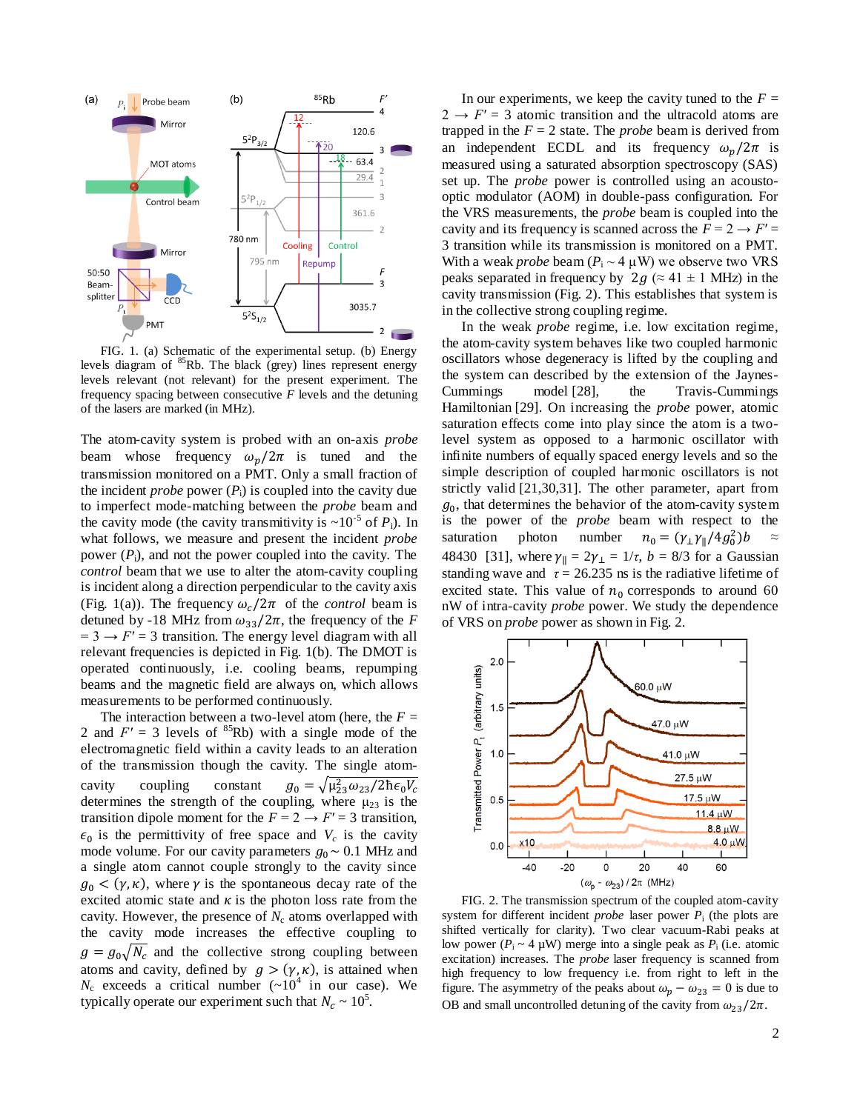

FIG. 1. (a) Schematic of the experimental setup. (b) Energy levels diagram of <sup>85</sup>Rb. The black (grey) lines represent energy levels relevant (not relevant) for the present experiment. The frequency spacing between consecutive *F* levels and the detuning of the lasers are marked (in MHz).

The atom-cavity system is probed with an on-axis *probe* beam whose frequency  $\omega_n/2\pi$  is tuned and the transmission monitored on a PMT. Only a small fraction of the incident *probe* power  $(P_i)$  is coupled into the cavity due to imperfect mode-matching between the *probe* beam and the cavity mode (the cavity transmitivity is  $\sim 10^{-5}$  of  $P_i$ ). In what follows, we measure and present the incident *probe* power  $(P_i)$ , and not the power coupled into the cavity. The *control* beam that we use to alter the atom-cavity coupling is incident along a direction perpendicular to the cavity axis (Fig. 1(a)). The frequency  $\omega_c/2\pi$  of the *control* beam is detuned by -18 MHz from  $\omega_{33}/2\pi$ , the frequency of the *F*  $= 3 \rightarrow F' = 3$  transition. The energy level diagram with all relevant frequencies is depicted in Fig. 1(b). The DMOT is operated continuously, i.e. cooling beams, repumping beams and the magnetic field are always on, which allows measurements to be performed continuously.

The interaction between a two-level atom (here, the  $F =$ 2 and  $F' = 3$  levels of  ${}^{85}$ Rb) with a single mode of the electromagnetic field within a cavity leads to an alteration of the transmission though the cavity. The single atomcavity coupling constant  $g_0 = \sqrt{\mu_{23}^2 \omega_{23}/2}$ determines the strength of the coupling, where  $\mu_{23}$  is the transition dipole moment for the  $F = 2 \rightarrow F' = 3$  transition,  $\epsilon_0$  is the permittivity of free space and  $V_c$  is the cavity mode volume. For our cavity parameters  $g_0 \sim 0.1$  MHz and a single atom cannot couple strongly to the cavity since  $g_0 < (\gamma, \kappa)$ , where  $\gamma$  is the spontaneous decay rate of the excited atomic state and  $\kappa$  is the photon loss rate from the cavity. However, the presence of  $N_c$  atoms overlapped with the cavity mode increases the effective coupling to  $g = g_0 \sqrt{N_c}$  and the collective strong coupling between atoms and cavity, defined by  $g > (\gamma, \kappa)$ , is attained when  $N_c$  exceeds a critical number  $({\sim}10^4$  in our case). We typically operate our experiment such that  $N_c \sim 10^5$ .

In our experiments, we keep the cavity tuned to the  $F =$  $2 \rightarrow F' = 3$  atomic transition and the ultracold atoms are trapped in the  $F = 2$  state. The *probe* beam is derived from an independent ECDL and its frequency  $\omega_p/2\pi$  is measured using a saturated absorption spectroscopy (SAS) set up. The *probe* power is controlled using an acoustooptic modulator (AOM) in double-pass configuration. For the VRS measurements, the *probe* beam is coupled into the cavity and its frequency is scanned across the  $F = 2 \rightarrow F' =$ 3 transition while its transmission is monitored on a PMT. With a weak *probe* beam  $(P_i \sim 4 \mu W)$  we observe two VRS peaks separated in frequency by  $2g \approx 41 \pm 1$  MHz) in the cavity transmission (Fig. 2). This establishes that system is in the collective strong coupling regime.

In the weak *probe* regime, i.e. low excitation regime, the atom-cavity system behaves like two coupled harmonic oscillators whose degeneracy is lifted by the coupling and the system can described by the extension of the Jaynes-Cummings model [28], the Travis-Cummings Hamiltonian [29]. On increasing the *probe* power, atomic saturation effects come into play since the atom is a twolevel system as opposed to a harmonic oscillator with infinite numbers of equally spaced energy levels and so the simple description of coupled harmonic oscillators is not strictly valid [21,30,31]. The other parameter, apart from  $g<sub>0</sub>$ , that determines the behavior of the atom-cavity system is the power of the *probe* beam with respect to the saturation photon number  $n_0 = (\gamma_\perp \gamma_\parallel / 4 g_0^2) b \approx$ 48430 [31], where  $\gamma_{\parallel} = 2\gamma_{\perp} = 1/\tau$ ,  $b = 8/3$  for a Gaussian standing wave and  $\tau = 26.235$  ns is the radiative lifetime of excited state. This value of  $n_0$  corresponds to around 60 nW of intra-cavity *probe* power. We study the dependence of VRS on *probe* power as shown in Fig. 2.



FIG. 2. The transmission spectrum of the coupled atom-cavity system for different incident *probe* laser power  $P_i$  (the plots are shifted vertically for clarity). Two clear vacuum-Rabi peaks at low power  $(P_i \sim 4 \mu W)$  merge into a single peak as  $P_i$  (i.e. atomic excitation) increases. The *probe* laser frequency is scanned from high frequency to low frequency i.e. from right to left in the figure. The asymmetry of the peaks about  $\omega_p - \omega_{23} = 0$  is due to OB and small uncontrolled detuning of the cavity from  $\omega_{23}/2\pi$ .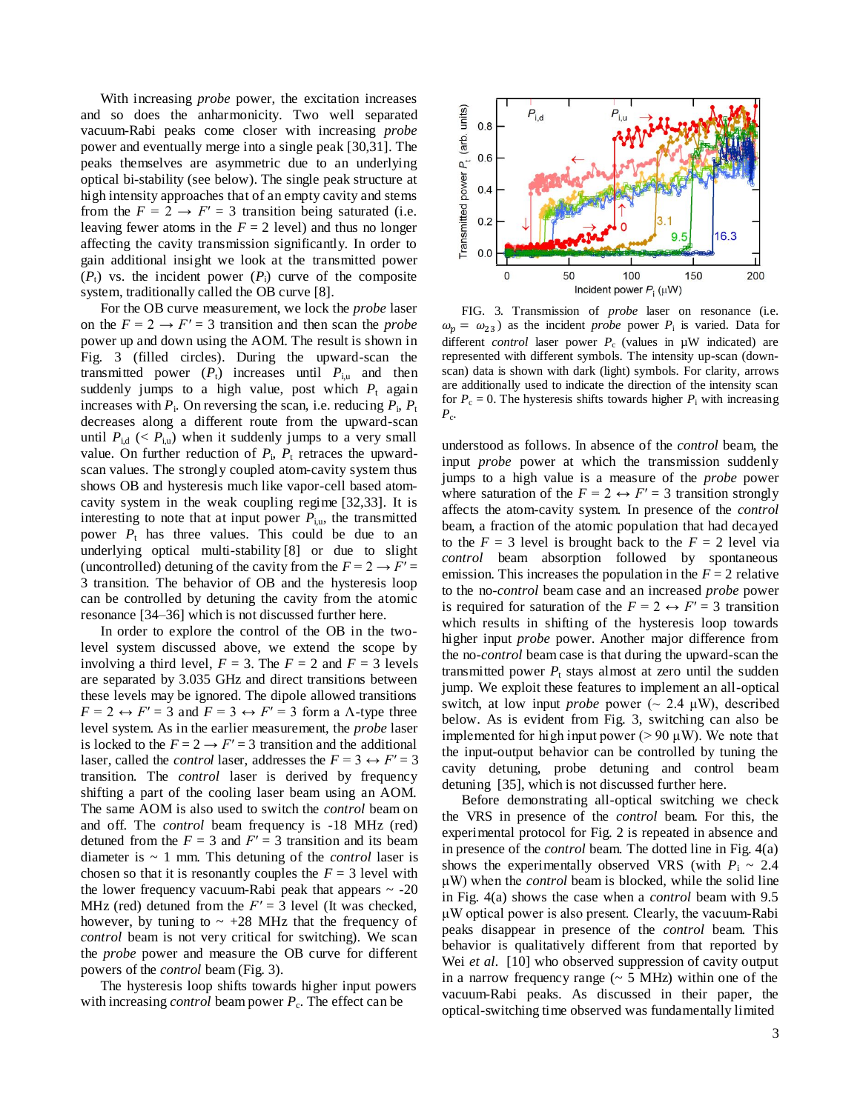With increasing *probe* power, the excitation increases and so does the anharmonicity. Two well separated vacuum-Rabi peaks come closer with increasing *probe* power and eventually merge into a single peak [30,31]. The peaks themselves are asymmetric due to an underlying optical bi-stability (see below). The single peak structure at high intensity approaches that of an empty cavity and stems from the  $F = 2 \rightarrow F' = 3$  transition being saturated (i.e. leaving fewer atoms in the  $F = 2$  level) and thus no longer affecting the cavity transmission significantly. In order to gain additional insight we look at the transmitted power  $(P_t)$  vs. the incident power  $(P_i)$  curve of the composite system, traditionally called the OB curve [8].

For the OB curve measurement, we lock the *probe* laser on the  $F = 2 \rightarrow F' = 3$  transition and then scan the *probe* power up and down using the AOM. The result is shown in Fig. 3 (filled circles). During the upward-scan the transmitted power  $(P_t)$  increases until  $P_{i,u}$  and then suddenly jumps to a high value, post which  $P_t$  again increases with  $P_i$ . On reversing the scan, i.e. reducing  $P_i$ ,  $P_t$ decreases along a different route from the upward-scan until  $P_{id}$  (<  $P_{i,u}$ ) when it suddenly jumps to a very small value. On further reduction of  $P_i$ ,  $P_t$  retraces the upwardscan values. The strongly coupled atom-cavity system thus shows OB and hysteresis much like vapor-cell based atomcavity system in the weak coupling regime [32,33]. It is interesting to note that at input power  $P_{i,u}$ , the transmitted power  $P_t$  has three values. This could be due to an underlying optical multi-stability [8] or due to slight (uncontrolled) detuning of the cavity from the  $F = 2 \rightarrow F' =$ 3 transition. The behavior of OB and the hysteresis loop can be controlled by detuning the cavity from the atomic resonance [34–36] which is not discussed further here.

In order to explore the control of the OB in the twolevel system discussed above, we extend the scope by involving a third level,  $F = 3$ . The  $F = 2$  and  $F = 3$  levels are separated by 3.035 GHz and direct transitions between these levels may be ignored. The dipole allowed transitions  $F = 2 \leftrightarrow F' = 3$  and  $F = 3 \leftrightarrow F' = 3$  form a  $\Lambda$ -type three level system. As in the earlier measurement, the *probe* laser is locked to the  $F = 2 \rightarrow F' = 3$  transition and the additional laser, called the *control* laser, addresses the  $F = 3 \leftrightarrow F' = 3$ transition. The *control* laser is derived by frequency shifting a part of the cooling laser beam using an AOM. The same AOM is also used to switch the *control* beam on and off. The *control* beam frequency is -18 MHz (red) detuned from the  $F = 3$  and  $F' = 3$  transition and its beam diameter is ~ 1 mm. This detuning of the *control* laser is chosen so that it is resonantly couples the  $F = 3$  level with the lower frequency vacuum-Rabi peak that appears  $\sim$  -20 MHz (red) detuned from the  $F' = 3$  level (It was checked, however, by tuning to  $\sim +28$  MHz that the frequency of *control* beam is not very critical for switching). We scan the *probe* power and measure the OB curve for different powers of the *control* beam (Fig. 3).

The hysteresis loop shifts towards higher input powers with increasing *control* beam power  $P_c$ . The effect can be



FIG. 3. Transmission of *probe* laser on resonance (i.e.  $\omega_p = \omega_{23}$ ) as the incident *probe* power  $P_i$  is varied. Data for different *control* laser power  $P_c$  (values in  $\mu$ W indicated) are represented with different symbols. The intensity up-scan (downscan) data is shown with dark (light) symbols. For clarity, arrows are additionally used to indicate the direction of the intensity scan for  $P_c = 0$ . The hysteresis shifts towards higher  $P_i$  with increasing *P*c .

understood as follows. In absence of the *control* beam, the input *probe* power at which the transmission suddenly jumps to a high value is a measure of the *probe* power where saturation of the  $F = 2 \leftrightarrow F' = 3$  transition strongly affects the atom-cavity system. In presence of the *control*  beam, a fraction of the atomic population that had decayed to the  $F = 3$  level is brought back to the  $F = 2$  level via *control* beam absorption followed by spontaneous emission. This increases the population in the  $F = 2$  relative to the no-*control* beam case and an increased *probe* power is required for saturation of the  $F = 2 \leftrightarrow F' = 3$  transition which results in shifting of the hysteresis loop towards higher input *probe* power. Another major difference from the no-*control* beam case is that during the upward-scan the transmitted power  $P_t$  stays almost at zero until the sudden jump. We exploit these features to implement an all-optical switch, at low input *probe* power ( $\sim 2.4 \mu W$ ), described below. As is evident from Fig. 3, switching can also be implemented for high input power ( $> 90 \mu$ W). We note that the input-output behavior can be controlled by tuning the cavity detuning, probe detuning and control beam detuning [35], which is not discussed further here.

Before demonstrating all-optical switching we check the VRS in presence of the *control* beam. For this, the experimental protocol for Fig. 2 is repeated in absence and in presence of the *control* beam. The dotted line in Fig. 4(a) shows the experimentally observed VRS (with  $P_i \sim 2.4$ ) μW) when the *control* beam is blocked, while the solid line in Fig. 4(a) shows the case when a *control* beam with 9.5 μW optical power is also present. Clearly, the vacuum-Rabi peaks disappear in presence of the *control* beam. This behavior is qualitatively different from that reported by Wei *et al.* [10] who observed suppression of cavity output in a narrow frequency range  $($   $\sim$  5 MHz) within one of the vacuum-Rabi peaks. As discussed in their paper, the optical-switching time observed was fundamentally limited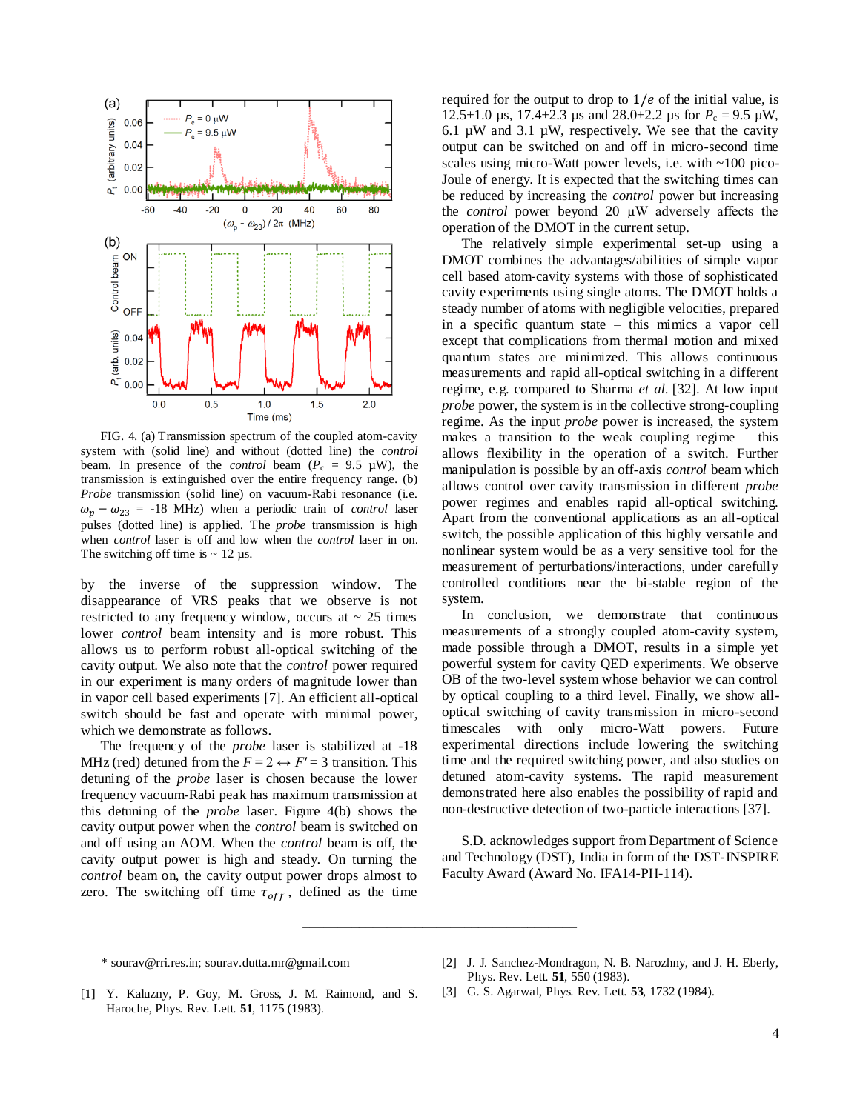

FIG. 4. (a) Transmission spectrum of the coupled atom-cavity system with (solid line) and without (dotted line) the *control* beam. In presence of the *control* beam  $(P_c = 9.5 \mu W)$ , the transmission is extinguished over the entire frequency range. (b) *Probe* transmission (solid line) on vacuum-Rabi resonance (i.e.  $\omega_p - \omega_{23} = -18$  MHz) when a periodic train of *control* laser pulses (dotted line) is applied. The *probe* transmission is high when *control* laser is off and low when the *control* laser in on. The switching off time is  $\sim 12 \text{ }\mu\text{s}$ .

by the inverse of the suppression window. The disappearance of VRS peaks that we observe is not restricted to any frequency window, occurs at  $\sim$  25 times lower *control* beam intensity and is more robust. This allows us to perform robust all-optical switching of the cavity output. We also note that the *control* power required in our experiment is many orders of magnitude lower than in vapor cell based experiments [7]. An efficient all-optical switch should be fast and operate with minimal power, which we demonstrate as follows.

The frequency of the *probe* laser is stabilized at -18 MHz (red) detuned from the  $F = 2 \leftrightarrow F' = 3$  transition. This detuning of the *probe* laser is chosen because the lower frequency vacuum-Rabi peak has maximum transmission at this detuning of the *probe* laser. Figure 4(b) shows the cavity output power when the *control* beam is switched on and off using an AOM. When the *control* beam is off, the cavity output power is high and steady. On turning the *control* beam on, the cavity output power drops almost to zero. The switching off time  $\tau_{off}$ , defined as the time required for the output to drop to  $1/e$  of the initial value, is 12.5 $\pm$ 1.0 µs, 17.4 $\pm$ 2.3 µs and 28.0 $\pm$ 2.2 µs for  $P_c = 9.5$  µW, 6.1  $\mu$ W and 3.1  $\mu$ W, respectively. We see that the cavity output can be switched on and off in micro-second time scales using micro-Watt power levels, i.e. with ~100 pico-Joule of energy. It is expected that the switching times can be reduced by increasing the *control* power but increasing the *control* power beyond 20 μW adversely affects the operation of the DMOT in the current setup.

The relatively simple experimental set-up using a DMOT combines the advantages/abilities of simple vapor cell based atom-cavity systems with those of sophisticated cavity experiments using single atoms. The DMOT holds a steady number of atoms with negligible velocities, prepared in a specific quantum state – this mimics a vapor cell except that complications from thermal motion and mixed quantum states are minimized. This allows continuous measurements and rapid all-optical switching in a different regime, e.g. compared to Sharma *et al.* [32]. At low input *probe* power, the system is in the collective strong-coupling regime. As the input *probe* power is increased, the system makes a transition to the weak coupling regime – this allows flexibility in the operation of a switch. Further manipulation is possible by an off-axis *control* beam which allows control over cavity transmission in different *probe* power regimes and enables rapid all-optical switching. Apart from the conventional applications as an all-optical switch, the possible application of this highly versatile and nonlinear system would be as a very sensitive tool for the measurement of perturbations/interactions, under carefully controlled conditions near the bi-stable region of the system.

In conclusion, we demonstrate that continuous measurements of a strongly coupled atom-cavity system, made possible through a DMOT, results in a simple yet powerful system for cavity QED experiments. We observe OB of the two-level system whose behavior we can control by optical coupling to a third level. Finally, we show alloptical switching of cavity transmission in micro-second timescales with only micro-Watt powers. Future experimental directions include lowering the switching time and the required switching power, and also studies on detuned atom-cavity systems. The rapid measurement demonstrated here also enables the possibility of rapid and non-destructive detection of two-particle interactions [37].

S.D. acknowledges support from Department of Science and Technology (DST), India in form of the DST-INSPIRE Faculty Award (Award No. IFA14-PH-114).

- [2] J. J. Sanchez-Mondragon, N. B. Narozhny, and J. H. Eberly, Phys. Rev. Lett. **51**, 550 (1983).
- [1] Y. Kaluzny, P. Goy, M. Gross, J. M. Raimond, and S. Haroche, Phys. Rev. Lett. **51**, 1175 (1983).
- [3] G. S. Agarwal, Phys. Rev. Lett. **53**, 1732 (1984).

–––––––––––––––––––––––––––––––––––––––

<sup>\*</sup> sourav@rri.res.in; sourav.dutta.mr@gmail.com